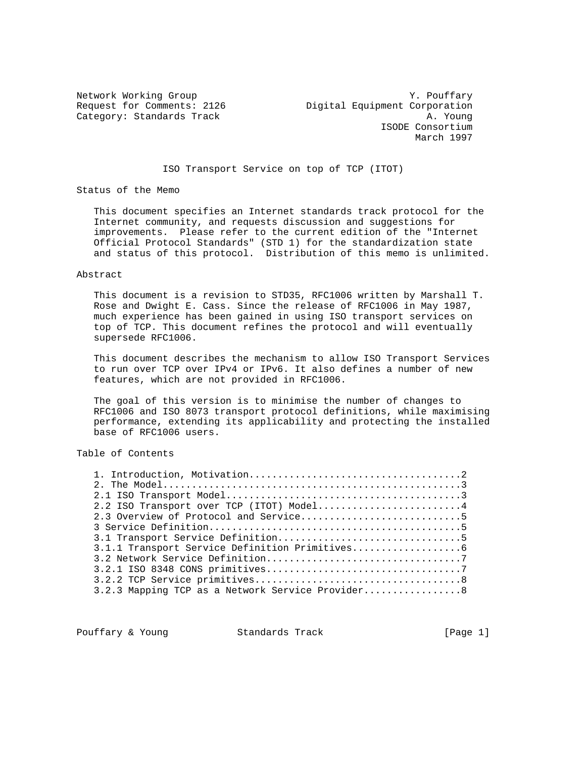Network Working Group<br>Request for Comments: 2126 Digital Equipment Corporation<br>Network for Comments: 2126 Digital Equipment Corporation Digital Equipment Corporation Category: Standards Track A. Young ISODE Consortium March 1997

ISO Transport Service on top of TCP (ITOT)

Status of the Memo

 This document specifies an Internet standards track protocol for the Internet community, and requests discussion and suggestions for improvements. Please refer to the current edition of the "Internet Official Protocol Standards" (STD 1) for the standardization state and status of this protocol. Distribution of this memo is unlimited.

#### Abstract

 This document is a revision to STD35, RFC1006 written by Marshall T. Rose and Dwight E. Cass. Since the release of RFC1006 in May 1987, much experience has been gained in using ISO transport services on top of TCP. This document refines the protocol and will eventually supersede RFC1006.

 This document describes the mechanism to allow ISO Transport Services to run over TCP over IPv4 or IPv6. It also defines a number of new features, which are not provided in RFC1006.

 The goal of this version is to minimise the number of changes to RFC1006 and ISO 8073 transport protocol definitions, while maximising performance, extending its applicability and protecting the installed base of RFC1006 users.

# Table of Contents

| 2.2 ISO Transport over TCP (ITOT) Model4          |  |
|---------------------------------------------------|--|
|                                                   |  |
|                                                   |  |
|                                                   |  |
|                                                   |  |
|                                                   |  |
|                                                   |  |
|                                                   |  |
| 3.2.3 Mapping TCP as a Network Service Provider 8 |  |

Pouffary & Young Standards Track [Page 1]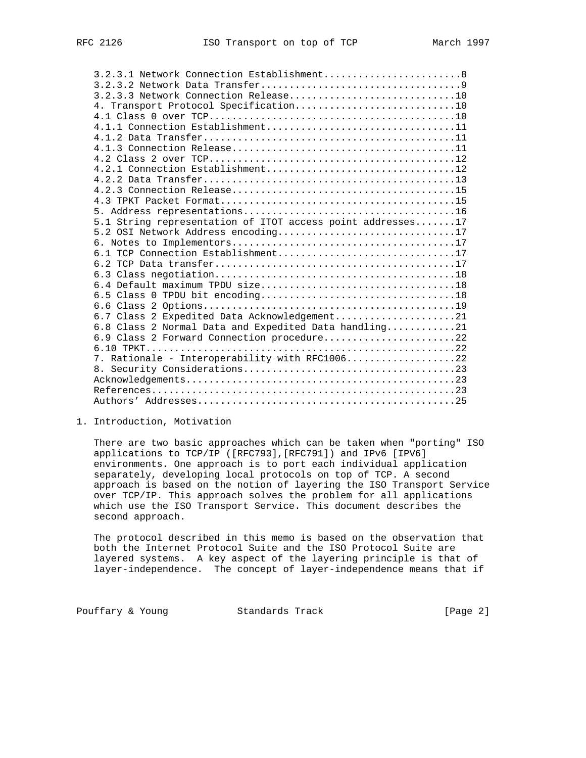| 3.2.3.1 Network Connection Establishment8                  |  |
|------------------------------------------------------------|--|
|                                                            |  |
| 3.2.3.3 Network Connection Release10                       |  |
|                                                            |  |
|                                                            |  |
| $4.1.1$ Connection Establishment11                         |  |
|                                                            |  |
|                                                            |  |
|                                                            |  |
| 4.2.1 Connection Establishment12                           |  |
|                                                            |  |
|                                                            |  |
|                                                            |  |
|                                                            |  |
| 5.1 String representation of ITOT access point addresses17 |  |
| 5.2 OSI Network Address encoding17                         |  |
|                                                            |  |
| 6.1 TCP Connection Establishment17                         |  |
|                                                            |  |
|                                                            |  |
|                                                            |  |
|                                                            |  |
|                                                            |  |
| 6.7 Class 2 Expedited Data Acknowledgement21               |  |
| 6.8 Class 2 Normal Data and Expedited Data handling21      |  |
| 6.9 Class 2 Forward Connection procedure22                 |  |
|                                                            |  |
| 7. Rationale - Interoperability with RFC100622             |  |
|                                                            |  |
|                                                            |  |
|                                                            |  |
|                                                            |  |

1. Introduction, Motivation

 There are two basic approaches which can be taken when "porting" ISO applications to TCP/IP ([RFC793],[RFC791]) and IPv6 [IPV6] environments. One approach is to port each individual application separately, developing local protocols on top of TCP. A second approach is based on the notion of layering the ISO Transport Service over TCP/IP. This approach solves the problem for all applications which use the ISO Transport Service. This document describes the second approach.

 The protocol described in this memo is based on the observation that both the Internet Protocol Suite and the ISO Protocol Suite are layered systems. A key aspect of the layering principle is that of layer-independence. The concept of layer-independence means that if

Pouffary & Young Standards Track [Page 2]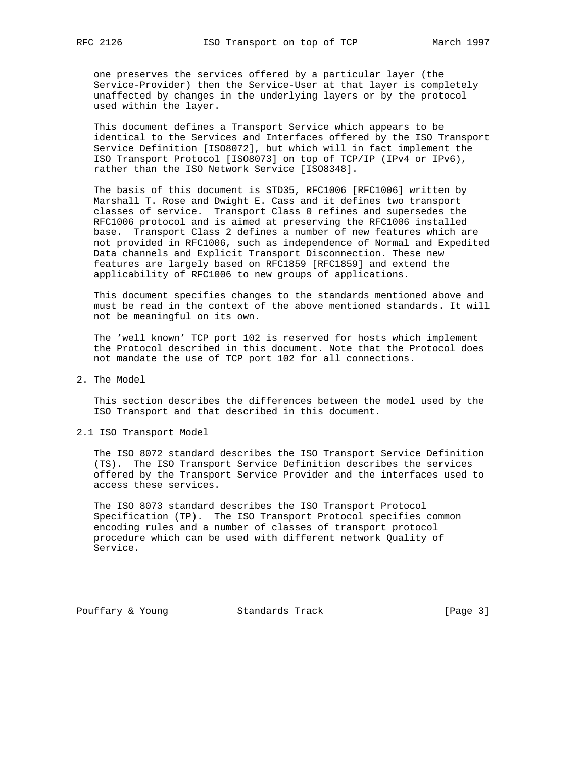one preserves the services offered by a particular layer (the Service-Provider) then the Service-User at that layer is completely unaffected by changes in the underlying layers or by the protocol used within the layer.

 This document defines a Transport Service which appears to be identical to the Services and Interfaces offered by the ISO Transport Service Definition [ISO8072], but which will in fact implement the ISO Transport Protocol [ISO8073] on top of TCP/IP (IPv4 or IPv6), rather than the ISO Network Service [ISO8348].

 The basis of this document is STD35, RFC1006 [RFC1006] written by Marshall T. Rose and Dwight E. Cass and it defines two transport classes of service. Transport Class 0 refines and supersedes the RFC1006 protocol and is aimed at preserving the RFC1006 installed base. Transport Class 2 defines a number of new features which are not provided in RFC1006, such as independence of Normal and Expedited Data channels and Explicit Transport Disconnection. These new features are largely based on RFC1859 [RFC1859] and extend the applicability of RFC1006 to new groups of applications.

 This document specifies changes to the standards mentioned above and must be read in the context of the above mentioned standards. It will not be meaningful on its own.

 The 'well known' TCP port 102 is reserved for hosts which implement the Protocol described in this document. Note that the Protocol does not mandate the use of TCP port 102 for all connections.

2. The Model

 This section describes the differences between the model used by the ISO Transport and that described in this document.

2.1 ISO Transport Model

 The ISO 8072 standard describes the ISO Transport Service Definition (TS). The ISO Transport Service Definition describes the services offered by the Transport Service Provider and the interfaces used to access these services.

 The ISO 8073 standard describes the ISO Transport Protocol Specification (TP). The ISO Transport Protocol specifies common encoding rules and a number of classes of transport protocol procedure which can be used with different network Quality of Service.

Pouffary & Young Standards Track [Page 3]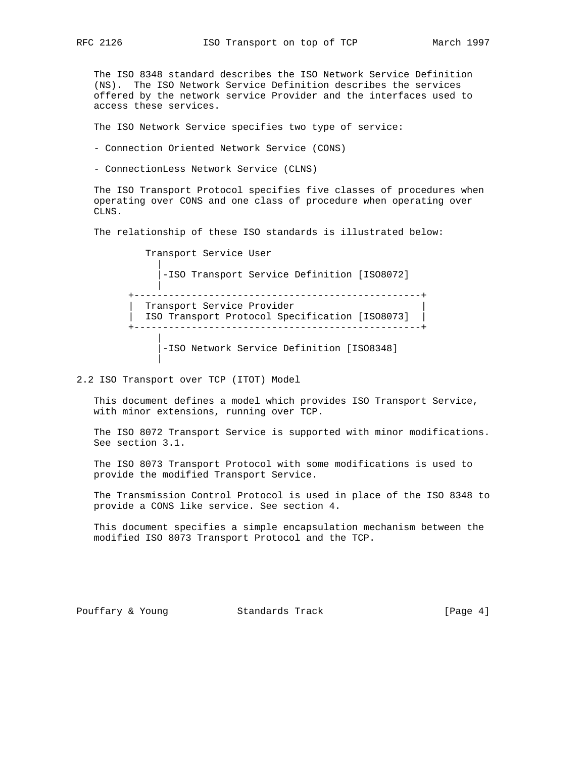The ISO 8348 standard describes the ISO Network Service Definition (NS). The ISO Network Service Definition describes the services offered by the network service Provider and the interfaces used to access these services.

The ISO Network Service specifies two type of service:

- Connection Oriented Network Service (CONS)

- ConnectionLess Network Service (CLNS)

 The ISO Transport Protocol specifies five classes of procedures when operating over CONS and one class of procedure when operating over CLNS.

The relationship of these ISO standards is illustrated below:

 Transport Service User | |-ISO Transport Service Definition [ISO8072] | +--------------------------------------------------+ Transport Service Provider | ISO Transport Protocol Specification [ISO8073] | +--------------------------------------------------+ | |-ISO Network Service Definition [ISO8348]

2.2 ISO Transport over TCP (ITOT) Model

 This document defines a model which provides ISO Transport Service, with minor extensions, running over TCP.

 The ISO 8072 Transport Service is supported with minor modifications. See section 3.1.

 The ISO 8073 Transport Protocol with some modifications is used to provide the modified Transport Service.

 The Transmission Control Protocol is used in place of the ISO 8348 to provide a CONS like service. See section 4.

 This document specifies a simple encapsulation mechanism between the modified ISO 8073 Transport Protocol and the TCP.

|

Pouffary & Young Standards Track [Page 4]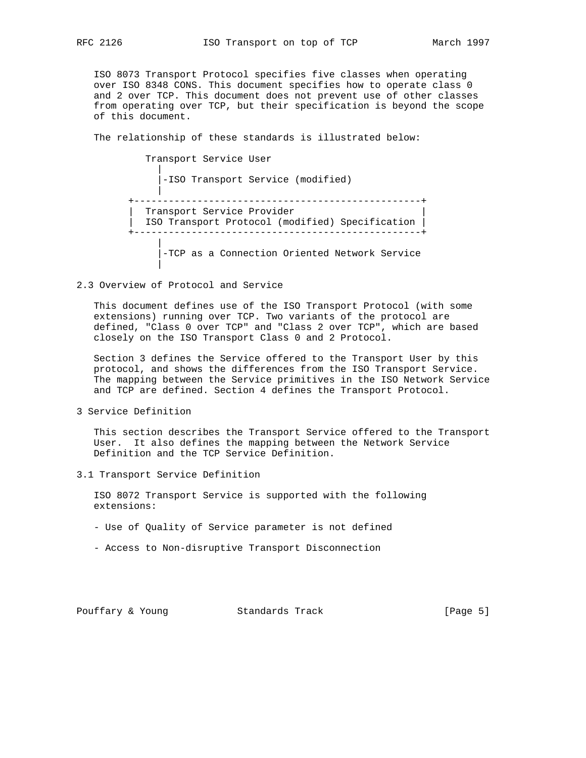ISO 8073 Transport Protocol specifies five classes when operating over ISO 8348 CONS. This document specifies how to operate class 0 and 2 over TCP. This document does not prevent use of other classes from operating over TCP, but their specification is beyond the scope of this document.

The relationship of these standards is illustrated below:

 Transport Service User | |-ISO Transport Service (modified) | +--------------------------------------------------+ Transport Service Provider | ISO Transport Protocol (modified) Specification | +--------------------------------------------------+ | |-TCP as a Connection Oriented Network Service |

### 2.3 Overview of Protocol and Service

 This document defines use of the ISO Transport Protocol (with some extensions) running over TCP. Two variants of the protocol are defined, "Class 0 over TCP" and "Class 2 over TCP", which are based closely on the ISO Transport Class 0 and 2 Protocol.

 Section 3 defines the Service offered to the Transport User by this protocol, and shows the differences from the ISO Transport Service. The mapping between the Service primitives in the ISO Network Service and TCP are defined. Section 4 defines the Transport Protocol.

3 Service Definition

 This section describes the Transport Service offered to the Transport User. It also defines the mapping between the Network Service Definition and the TCP Service Definition.

3.1 Transport Service Definition

 ISO 8072 Transport Service is supported with the following extensions:

- Use of Quality of Service parameter is not defined
- Access to Non-disruptive Transport Disconnection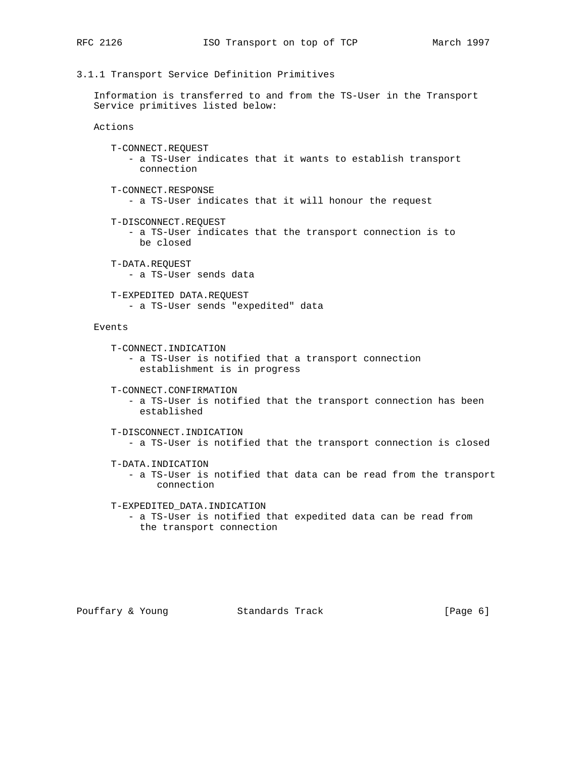# 3.1.1 Transport Service Definition Primitives

 Information is transferred to and from the TS-User in the Transport Service primitives listed below:

Actions

- T-CONNECT.REQUEST - a TS-User indicates that it wants to establish transport connection
- T-CONNECT.RESPONSE - a TS-User indicates that it will honour the request
- T-DISCONNECT.REQUEST
	- a TS-User indicates that the transport connection is to be closed
- T-DATA.REQUEST - a TS-User sends data
- T-EXPEDITED DATA.REQUEST - a TS-User sends "expedited" data

Events

T-CONNECT.INDICATION

 - a TS-User is notified that a transport connection establishment is in progress

T-CONNECT.CONFIRMATION

 - a TS-User is notified that the transport connection has been established

```
 T-DISCONNECT.INDICATION
   - a TS-User is notified that the transport connection is closed
```
- T-DATA.INDICATION
	- a TS-User is notified that data can be read from the transport connection

T-EXPEDITED\_DATA.INDICATION

 - a TS-User is notified that expedited data can be read from the transport connection

Pouffary & Young Standards Track [Page 6]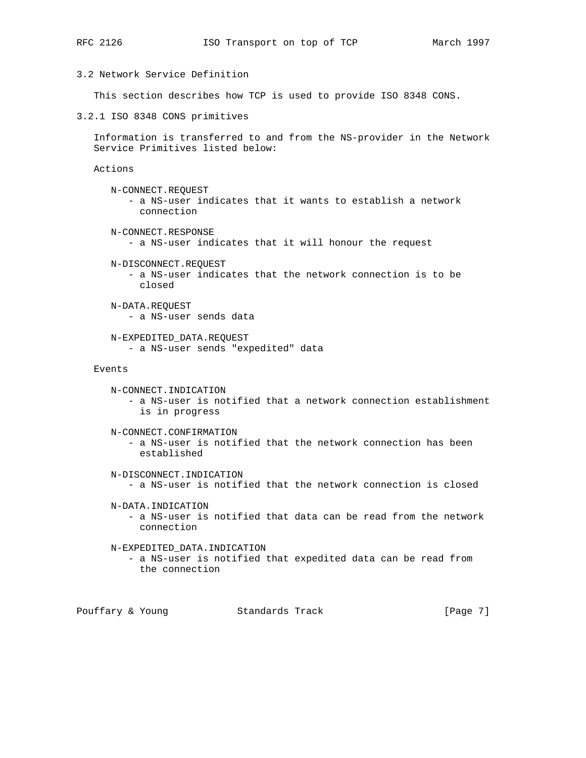# 3.2 Network Service Definition

This section describes how TCP is used to provide ISO 8348 CONS.

3.2.1 ISO 8348 CONS primitives

 Information is transferred to and from the NS-provider in the Network Service Primitives listed below:

Actions

 N-CONNECT.REQUEST - a NS-user indicates that it wants to establish a network connection

N-CONNECT.RESPONSE

- a NS-user indicates that it will honour the request

N-DISCONNECT.REQUEST

 - a NS-user indicates that the network connection is to be closed

 N-DATA.REQUEST - a NS-user sends data

 N-EXPEDITED\_DATA.REQUEST - a NS-user sends "expedited" data

### Events

```
 N-CONNECT.INDICATION
   - a NS-user is notified that a network connection establishment
     is in progress
N-CONNECT.CONFIRMATION
   - a NS-user is notified that the network connection has been
     established
N-DISCONNECT.INDICATION
   - a NS-user is notified that the network connection is closed
```
N-DATA.INDICATION

 - a NS-user is notified that data can be read from the network connection

### N-EXPEDITED\_DATA.INDICATION

 - a NS-user is notified that expedited data can be read from the connection

Pouffary & Young Standards Track [Page 7]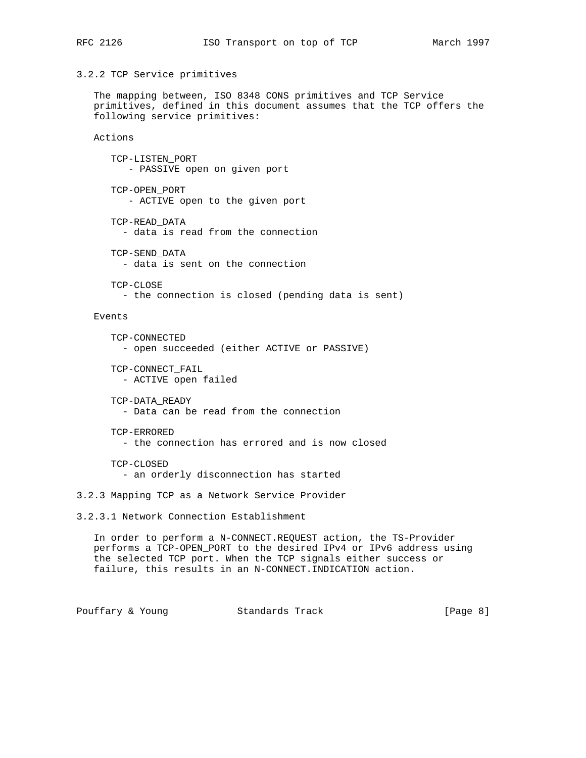## 3.2.2 TCP Service primitives

 The mapping between, ISO 8348 CONS primitives and TCP Service primitives, defined in this document assumes that the TCP offers the following service primitives:

## Actions

 TCP-LISTEN\_PORT - PASSIVE open on given port

- TCP-OPEN\_PORT - ACTIVE open to the given port
- TCP-READ\_DATA - data is read from the connection
- TCP-SEND\_DATA - data is sent on the connection
- TCP-CLOSE - the connection is closed (pending data is sent)

Events

- TCP-CONNECTED - open succeeded (either ACTIVE or PASSIVE)
- TCP-CONNECT\_FAIL
	- ACTIVE open failed
- TCP-DATA\_READY - Data can be read from the connection
- TCP-ERRORED - the connection has errored and is now closed
- TCP-CLOSED - an orderly disconnection has started

3.2.3 Mapping TCP as a Network Service Provider

3.2.3.1 Network Connection Establishment

 In order to perform a N-CONNECT.REQUEST action, the TS-Provider performs a TCP-OPEN\_PORT to the desired IPv4 or IPv6 address using the selected TCP port. When the TCP signals either success or failure, this results in an N-CONNECT.INDICATION action.

Pouffary & Young Standards Track [Page 8]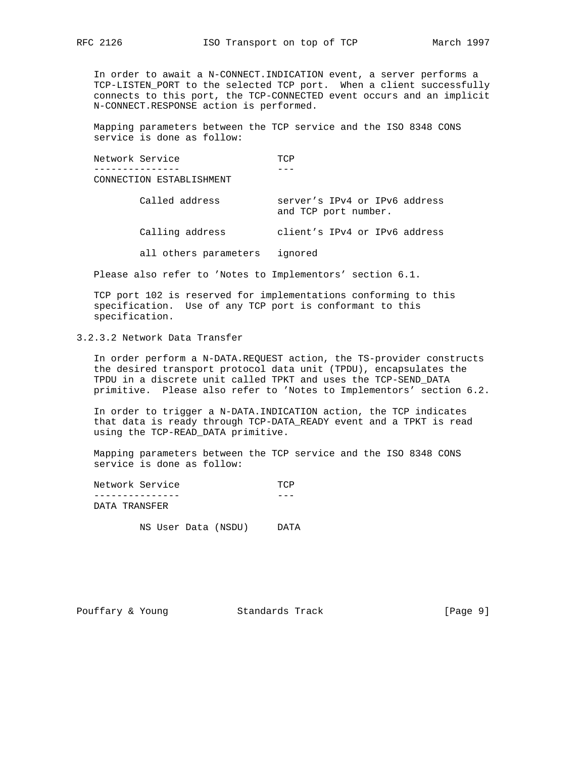In order to await a N-CONNECT.INDICATION event, a server performs a TCP-LISTEN\_PORT to the selected TCP port. When a client successfully connects to this port, the TCP-CONNECTED event occurs and an implicit N-CONNECT.RESPONSE action is performed.

 Mapping parameters between the TCP service and the ISO 8348 CONS service is done as follow:

| Network Service          | TCP                                                   |
|--------------------------|-------------------------------------------------------|
| CONNECTION ESTABLISHMENT |                                                       |
| Called address           | server's IPv4 or IPv6 address<br>and TCP port number. |
| Calling address          | client's IPv4 or IPv6 address                         |
| all others parameters    | ignored                                               |

Please also refer to 'Notes to Implementors' section 6.1.

 TCP port 102 is reserved for implementations conforming to this specification. Use of any TCP port is conformant to this specification.

3.2.3.2 Network Data Transfer

 In order perform a N-DATA.REQUEST action, the TS-provider constructs the desired transport protocol data unit (TPDU), encapsulates the TPDU in a discrete unit called TPKT and uses the TCP-SEND\_DATA primitive. Please also refer to 'Notes to Implementors' section 6.2.

 In order to trigger a N-DATA.INDICATION action, the TCP indicates that data is ready through TCP-DATA\_READY event and a TPKT is read using the TCP-READ\_DATA primitive.

 Mapping parameters between the TCP service and the ISO 8348 CONS service is done as follow:

| Network Service | ጥጦጋ |
|-----------------|-----|
|                 |     |
| DATA TRANSFER   |     |

NS User Data (NSDU) DATA

Pouffary & Young Standards Track [Page 9]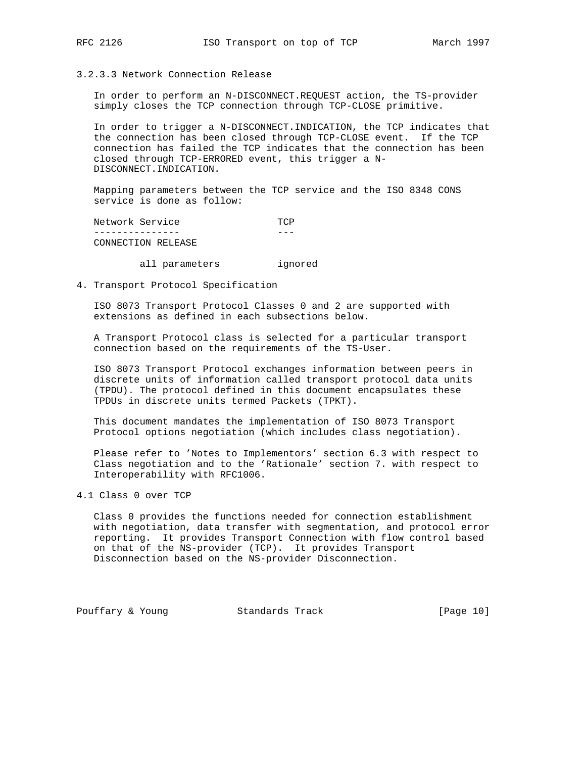3.2.3.3 Network Connection Release

 In order to perform an N-DISCONNECT.REQUEST action, the TS-provider simply closes the TCP connection through TCP-CLOSE primitive.

 In order to trigger a N-DISCONNECT.INDICATION, the TCP indicates that the connection has been closed through TCP-CLOSE event. If the TCP connection has failed the TCP indicates that the connection has been closed through TCP-ERRORED event, this trigger a N- DISCONNECT.INDICATION.

 Mapping parameters between the TCP service and the ISO 8348 CONS service is done as follow:

Network Service TCP --------------- --- CONNECTION RELEASE

all parameters ignored

4. Transport Protocol Specification

 ISO 8073 Transport Protocol Classes 0 and 2 are supported with extensions as defined in each subsections below.

 A Transport Protocol class is selected for a particular transport connection based on the requirements of the TS-User.

 ISO 8073 Transport Protocol exchanges information between peers in discrete units of information called transport protocol data units (TPDU). The protocol defined in this document encapsulates these TPDUs in discrete units termed Packets (TPKT).

 This document mandates the implementation of ISO 8073 Transport Protocol options negotiation (which includes class negotiation).

 Please refer to 'Notes to Implementors' section 6.3 with respect to Class negotiation and to the 'Rationale' section 7. with respect to Interoperability with RFC1006.

4.1 Class 0 over TCP

 Class 0 provides the functions needed for connection establishment with negotiation, data transfer with segmentation, and protocol error reporting. It provides Transport Connection with flow control based on that of the NS-provider (TCP). It provides Transport Disconnection based on the NS-provider Disconnection.

Pouffary & Young Standards Track [Page 10]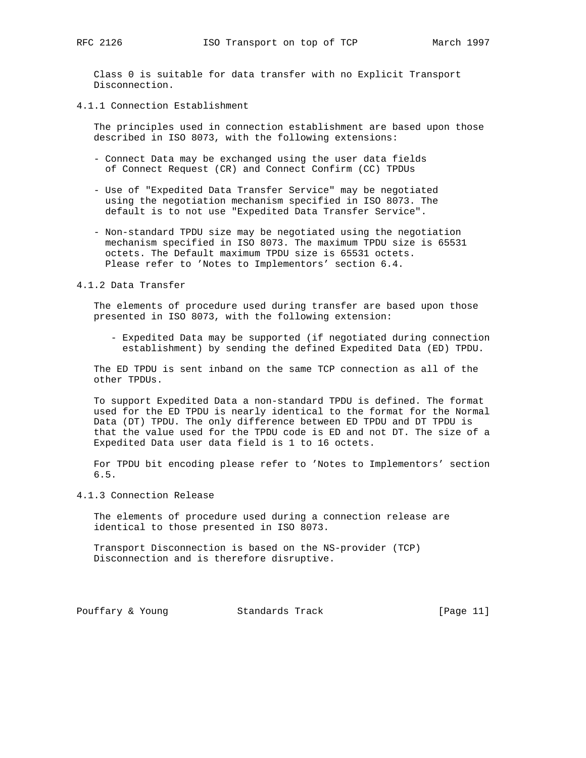Class 0 is suitable for data transfer with no Explicit Transport Disconnection.

4.1.1 Connection Establishment

 The principles used in connection establishment are based upon those described in ISO 8073, with the following extensions:

- Connect Data may be exchanged using the user data fields of Connect Request (CR) and Connect Confirm (CC) TPDUs
- Use of "Expedited Data Transfer Service" may be negotiated using the negotiation mechanism specified in ISO 8073. The default is to not use "Expedited Data Transfer Service".
- Non-standard TPDU size may be negotiated using the negotiation mechanism specified in ISO 8073. The maximum TPDU size is 65531 octets. The Default maximum TPDU size is 65531 octets. Please refer to 'Notes to Implementors' section 6.4.

#### 4.1.2 Data Transfer

 The elements of procedure used during transfer are based upon those presented in ISO 8073, with the following extension:

 - Expedited Data may be supported (if negotiated during connection establishment) by sending the defined Expedited Data (ED) TPDU.

 The ED TPDU is sent inband on the same TCP connection as all of the other TPDUs.

 To support Expedited Data a non-standard TPDU is defined. The format used for the ED TPDU is nearly identical to the format for the Normal Data (DT) TPDU. The only difference between ED TPDU and DT TPDU is that the value used for the TPDU code is ED and not DT. The size of a Expedited Data user data field is 1 to 16 octets.

 For TPDU bit encoding please refer to 'Notes to Implementors' section 6.5.

4.1.3 Connection Release

 The elements of procedure used during a connection release are identical to those presented in ISO 8073.

 Transport Disconnection is based on the NS-provider (TCP) Disconnection and is therefore disruptive.

Pouffary & Young Standards Track [Page 11]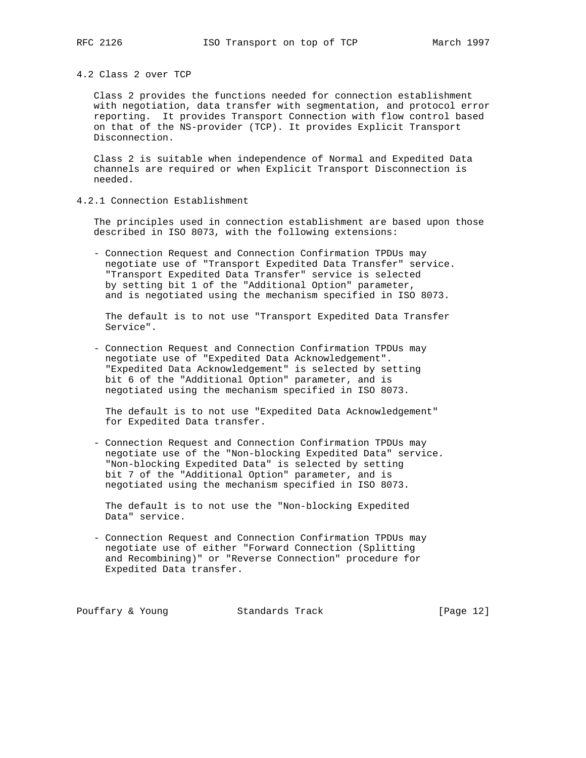4.2 Class 2 over TCP

 Class 2 provides the functions needed for connection establishment with negotiation, data transfer with segmentation, and protocol error reporting. It provides Transport Connection with flow control based on that of the NS-provider (TCP). It provides Explicit Transport Disconnection.

 Class 2 is suitable when independence of Normal and Expedited Data channels are required or when Explicit Transport Disconnection is needed.

4.2.1 Connection Establishment

 The principles used in connection establishment are based upon those described in ISO 8073, with the following extensions:

 - Connection Request and Connection Confirmation TPDUs may negotiate use of "Transport Expedited Data Transfer" service. "Transport Expedited Data Transfer" service is selected by setting bit 1 of the "Additional Option" parameter, and is negotiated using the mechanism specified in ISO 8073.

 The default is to not use "Transport Expedited Data Transfer Service".

 - Connection Request and Connection Confirmation TPDUs may negotiate use of "Expedited Data Acknowledgement". "Expedited Data Acknowledgement" is selected by setting bit 6 of the "Additional Option" parameter, and is negotiated using the mechanism specified in ISO 8073.

 The default is to not use "Expedited Data Acknowledgement" for Expedited Data transfer.

 - Connection Request and Connection Confirmation TPDUs may negotiate use of the "Non-blocking Expedited Data" service. "Non-blocking Expedited Data" is selected by setting bit 7 of the "Additional Option" parameter, and is negotiated using the mechanism specified in ISO 8073.

 The default is to not use the "Non-blocking Expedited Data" service.

 - Connection Request and Connection Confirmation TPDUs may negotiate use of either "Forward Connection (Splitting and Recombining)" or "Reverse Connection" procedure for Expedited Data transfer.

Pouffary & Young Standards Track [Page 12]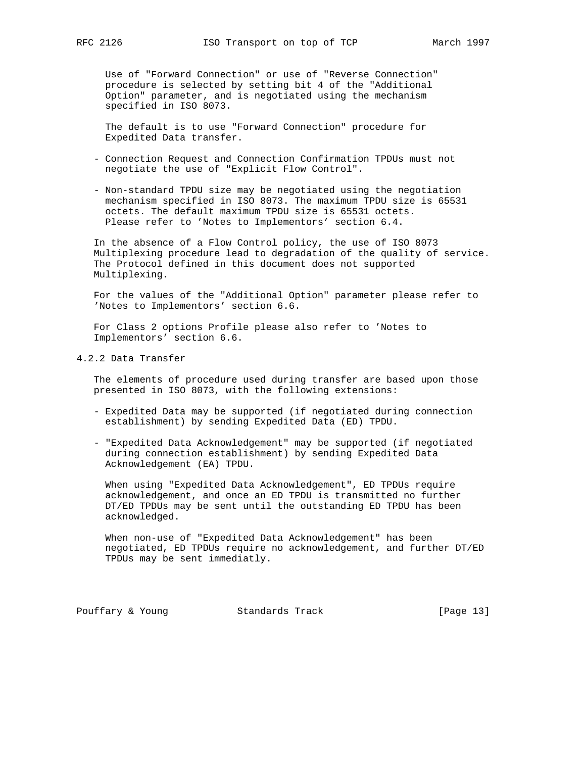Use of "Forward Connection" or use of "Reverse Connection" procedure is selected by setting bit 4 of the "Additional Option" parameter, and is negotiated using the mechanism specified in ISO 8073.

 The default is to use "Forward Connection" procedure for Expedited Data transfer.

- Connection Request and Connection Confirmation TPDUs must not negotiate the use of "Explicit Flow Control".
- Non-standard TPDU size may be negotiated using the negotiation mechanism specified in ISO 8073. The maximum TPDU size is 65531 octets. The default maximum TPDU size is 65531 octets. Please refer to 'Notes to Implementors' section 6.4.

 In the absence of a Flow Control policy, the use of ISO 8073 Multiplexing procedure lead to degradation of the quality of service. The Protocol defined in this document does not supported Multiplexing.

 For the values of the "Additional Option" parameter please refer to 'Notes to Implementors' section 6.6.

 For Class 2 options Profile please also refer to 'Notes to Implementors' section 6.6.

4.2.2 Data Transfer

 The elements of procedure used during transfer are based upon those presented in ISO 8073, with the following extensions:

- Expedited Data may be supported (if negotiated during connection establishment) by sending Expedited Data (ED) TPDU.
- "Expedited Data Acknowledgement" may be supported (if negotiated during connection establishment) by sending Expedited Data Acknowledgement (EA) TPDU.

 When using "Expedited Data Acknowledgement", ED TPDUs require acknowledgement, and once an ED TPDU is transmitted no further DT/ED TPDUs may be sent until the outstanding ED TPDU has been acknowledged.

 When non-use of "Expedited Data Acknowledgement" has been negotiated, ED TPDUs require no acknowledgement, and further DT/ED TPDUs may be sent immediatly.

Pouffary & Young Standards Track [Page 13]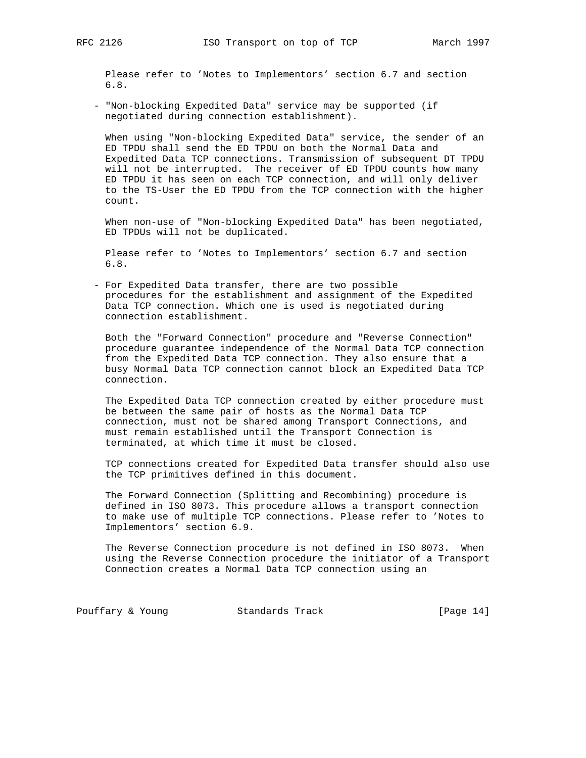Please refer to 'Notes to Implementors' section 6.7 and section 6.8.

 - "Non-blocking Expedited Data" service may be supported (if negotiated during connection establishment).

 When using "Non-blocking Expedited Data" service, the sender of an ED TPDU shall send the ED TPDU on both the Normal Data and Expedited Data TCP connections. Transmission of subsequent DT TPDU will not be interrupted. The receiver of ED TPDU counts how many ED TPDU it has seen on each TCP connection, and will only deliver to the TS-User the ED TPDU from the TCP connection with the higher count.

 When non-use of "Non-blocking Expedited Data" has been negotiated, ED TPDUs will not be duplicated.

 Please refer to 'Notes to Implementors' section 6.7 and section 6.8.

 - For Expedited Data transfer, there are two possible procedures for the establishment and assignment of the Expedited Data TCP connection. Which one is used is negotiated during connection establishment.

 Both the "Forward Connection" procedure and "Reverse Connection" procedure guarantee independence of the Normal Data TCP connection from the Expedited Data TCP connection. They also ensure that a busy Normal Data TCP connection cannot block an Expedited Data TCP connection.

 The Expedited Data TCP connection created by either procedure must be between the same pair of hosts as the Normal Data TCP connection, must not be shared among Transport Connections, and must remain established until the Transport Connection is terminated, at which time it must be closed.

 TCP connections created for Expedited Data transfer should also use the TCP primitives defined in this document.

 The Forward Connection (Splitting and Recombining) procedure is defined in ISO 8073. This procedure allows a transport connection to make use of multiple TCP connections. Please refer to 'Notes to Implementors' section 6.9.

 The Reverse Connection procedure is not defined in ISO 8073. When using the Reverse Connection procedure the initiator of a Transport Connection creates a Normal Data TCP connection using an

Pouffary & Young Standards Track [Page 14]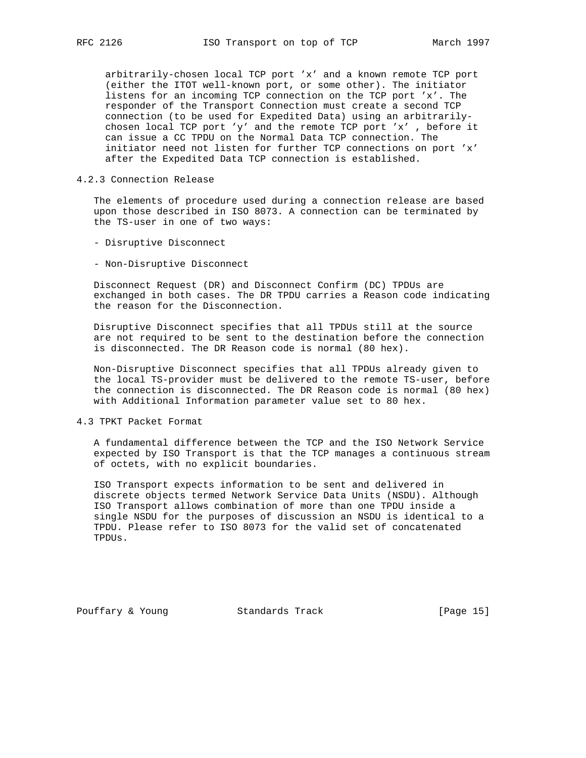arbitrarily-chosen local TCP port 'x' and a known remote TCP port (either the ITOT well-known port, or some other). The initiator listens for an incoming TCP connection on the TCP port 'x'. The responder of the Transport Connection must create a second TCP connection (to be used for Expedited Data) using an arbitrarily chosen local TCP port 'y' and the remote TCP port 'x' , before it can issue a CC TPDU on the Normal Data TCP connection. The initiator need not listen for further TCP connections on port 'x' after the Expedited Data TCP connection is established.

# 4.2.3 Connection Release

 The elements of procedure used during a connection release are based upon those described in ISO 8073. A connection can be terminated by the TS-user in one of two ways:

- Disruptive Disconnect
- Non-Disruptive Disconnect

 Disconnect Request (DR) and Disconnect Confirm (DC) TPDUs are exchanged in both cases. The DR TPDU carries a Reason code indicating the reason for the Disconnection.

 Disruptive Disconnect specifies that all TPDUs still at the source are not required to be sent to the destination before the connection is disconnected. The DR Reason code is normal (80 hex).

 Non-Disruptive Disconnect specifies that all TPDUs already given to the local TS-provider must be delivered to the remote TS-user, before the connection is disconnected. The DR Reason code is normal (80 hex) with Additional Information parameter value set to 80 hex.

# 4.3 TPKT Packet Format

 A fundamental difference between the TCP and the ISO Network Service expected by ISO Transport is that the TCP manages a continuous stream of octets, with no explicit boundaries.

 ISO Transport expects information to be sent and delivered in discrete objects termed Network Service Data Units (NSDU). Although ISO Transport allows combination of more than one TPDU inside a single NSDU for the purposes of discussion an NSDU is identical to a TPDU. Please refer to ISO 8073 for the valid set of concatenated TPDUs.

Pouffary & Young Standards Track [Page 15]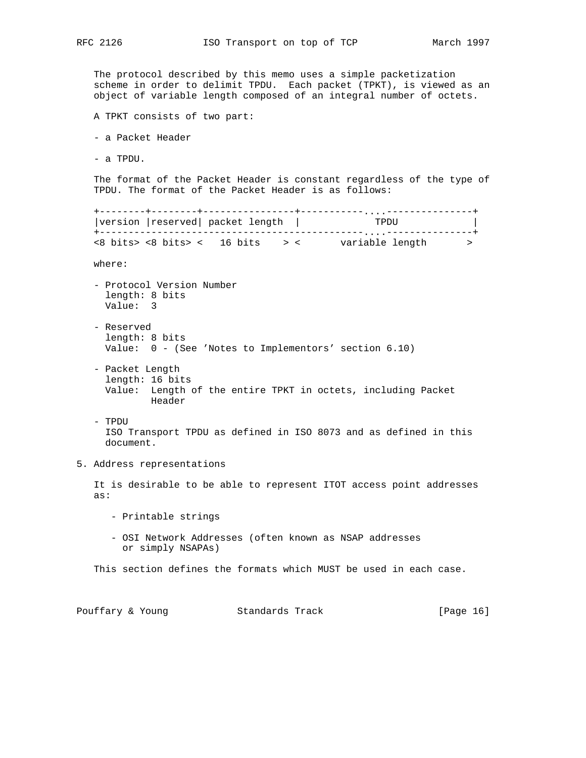The protocol described by this memo uses a simple packetization scheme in order to delimit TPDU. Each packet (TPKT), is viewed as an object of variable length composed of an integral number of octets.

- A TPKT consists of two part:
- a Packet Header
- a TPDU.

 The format of the Packet Header is constant regardless of the type of TPDU. The format of the Packet Header is as follows:

 +--------+--------+----------------+-----------....---------------+ +-<br>|version |reserved| packet length | +----------------------------------------------....---------------+ <8 bits> <8 bits> < 16 bits > < variable length > where: - Protocol Version Number length: 8 bits Value: 3 - Reserved length: 8 bits Value: 0 - (See 'Notes to Implementors' section 6.10) - Packet Length length: 16 bits Value: Length of the entire TPKT in octets, including Packet Header - TPDU ISO Transport TPDU as defined in ISO 8073 and as defined in this document.

5. Address representations

 It is desirable to be able to represent ITOT access point addresses as:

- Printable strings
- OSI Network Addresses (often known as NSAP addresses or simply NSAPAs)

This section defines the formats which MUST be used in each case.

| Pouffary & Young | Standards Track | [Page 16] |
|------------------|-----------------|-----------|
|------------------|-----------------|-----------|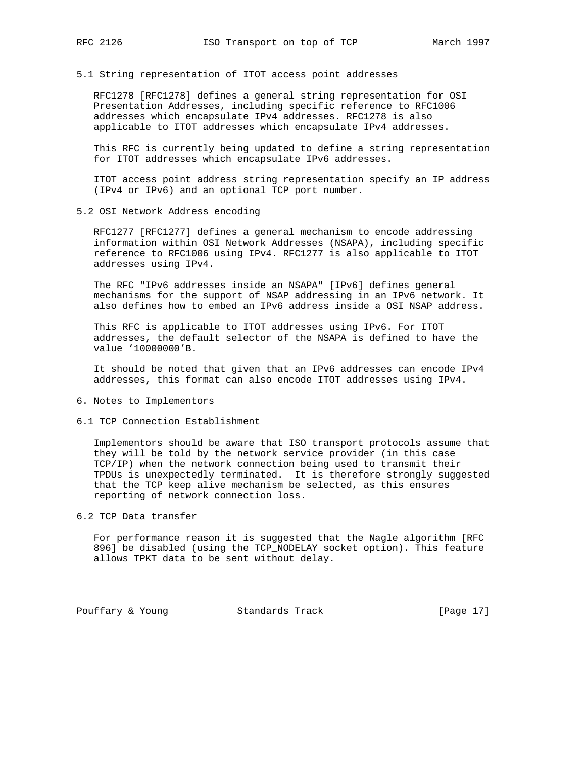5.1 String representation of ITOT access point addresses

 RFC1278 [RFC1278] defines a general string representation for OSI Presentation Addresses, including specific reference to RFC1006 addresses which encapsulate IPv4 addresses. RFC1278 is also applicable to ITOT addresses which encapsulate IPv4 addresses.

 This RFC is currently being updated to define a string representation for ITOT addresses which encapsulate IPv6 addresses.

 ITOT access point address string representation specify an IP address (IPv4 or IPv6) and an optional TCP port number.

5.2 OSI Network Address encoding

 RFC1277 [RFC1277] defines a general mechanism to encode addressing information within OSI Network Addresses (NSAPA), including specific reference to RFC1006 using IPv4. RFC1277 is also applicable to ITOT addresses using IPv4.

 The RFC "IPv6 addresses inside an NSAPA" [IPv6] defines general mechanisms for the support of NSAP addressing in an IPv6 network. It also defines how to embed an IPv6 address inside a OSI NSAP address.

 This RFC is applicable to ITOT addresses using IPv6. For ITOT addresses, the default selector of the NSAPA is defined to have the value '10000000'B.

 It should be noted that given that an IPv6 addresses can encode IPv4 addresses, this format can also encode ITOT addresses using IPv4.

- 6. Notes to Implementors
- 6.1 TCP Connection Establishment

 Implementors should be aware that ISO transport protocols assume that they will be told by the network service provider (in this case TCP/IP) when the network connection being used to transmit their TPDUs is unexpectedly terminated. It is therefore strongly suggested that the TCP keep alive mechanism be selected, as this ensures reporting of network connection loss.

6.2 TCP Data transfer

 For performance reason it is suggested that the Nagle algorithm [RFC 896] be disabled (using the TCP\_NODELAY socket option). This feature allows TPKT data to be sent without delay.

Pouffary & Young Standards Track [Page 17]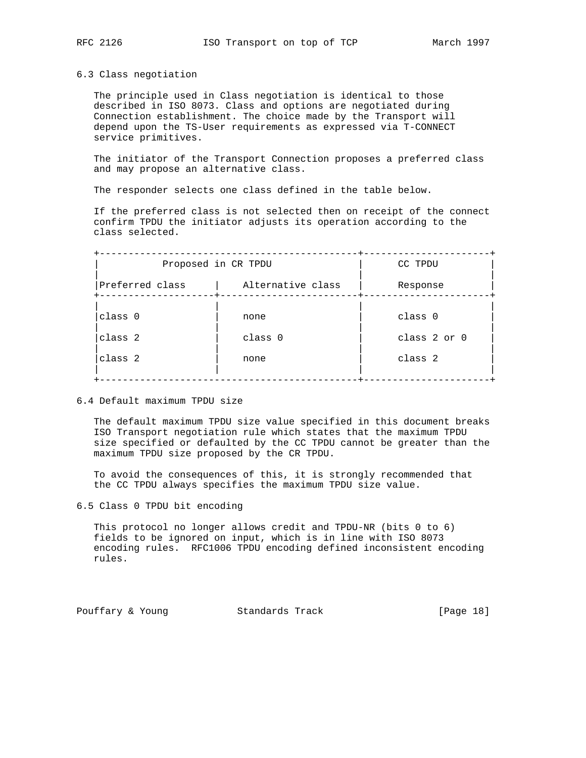### 6.3 Class negotiation

 The principle used in Class negotiation is identical to those described in ISO 8073. Class and options are negotiated during Connection establishment. The choice made by the Transport will depend upon the TS-User requirements as expressed via T-CONNECT service primitives.

 The initiator of the Transport Connection proposes a preferred class and may propose an alternative class.

The responder selects one class defined in the table below.

 If the preferred class is not selected then on receipt of the connect confirm TPDU the initiator adjusts its operation according to the class selected.

|                 | Proposed in CR TPDU | CC TPDU      |
|-----------------|---------------------|--------------|
| Preferred class | Alternative class   | Response     |
| class 0         | none                | class 0      |
| class 2         | class 0             | class 2 or 0 |
| class 2         | none                | class 2      |

6.4 Default maximum TPDU size

 The default maximum TPDU size value specified in this document breaks ISO Transport negotiation rule which states that the maximum TPDU size specified or defaulted by the CC TPDU cannot be greater than the maximum TPDU size proposed by the CR TPDU.

 To avoid the consequences of this, it is strongly recommended that the CC TPDU always specifies the maximum TPDU size value.

6.5 Class 0 TPDU bit encoding

 This protocol no longer allows credit and TPDU-NR (bits 0 to 6) fields to be ignored on input, which is in line with ISO 8073 encoding rules. RFC1006 TPDU encoding defined inconsistent encoding rules.

Pouffary & Young Standards Track [Page 18]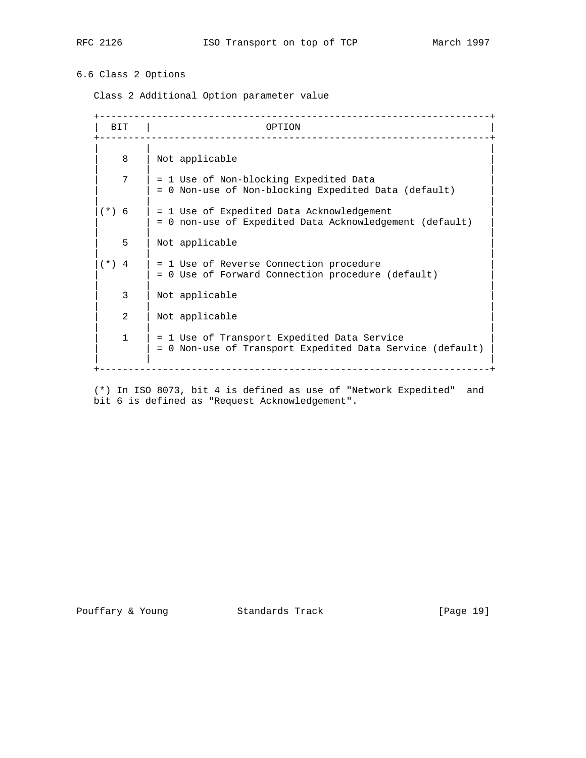# 6.6 Class 2 Options

Class 2 Additional Option parameter value

| BIT            | OPTION                                                                                                   |
|----------------|----------------------------------------------------------------------------------------------------------|
| 8              | Not applicable                                                                                           |
| 7              | = 1 Use of Non-blocking Expedited Data<br>= 0 Non-use of Non-blocking Expedited Data (default)           |
| $(*) 6$        | = 1 Use of Expedited Data Acknowledgement<br>= 0 non-use of Expedited Data Acknowledgement (default)     |
| 5              | Not applicable                                                                                           |
| $(*) 4$        | = 1 Use of Reverse Connection procedure<br>= 0 Use of Forward Connection procedure (default)             |
| 3              | Not applicable                                                                                           |
| $\mathfrak{D}$ | Not applicable                                                                                           |
| $\mathbf{1}$   | = 1 Use of Transport Expedited Data Service<br>= 0 Non-use of Transport Expedited Data Service (default) |

 (\*) In ISO 8073, bit 4 is defined as use of "Network Expedited" and bit 6 is defined as "Request Acknowledgement".

Pouffary & Young Standards Track [Page 19]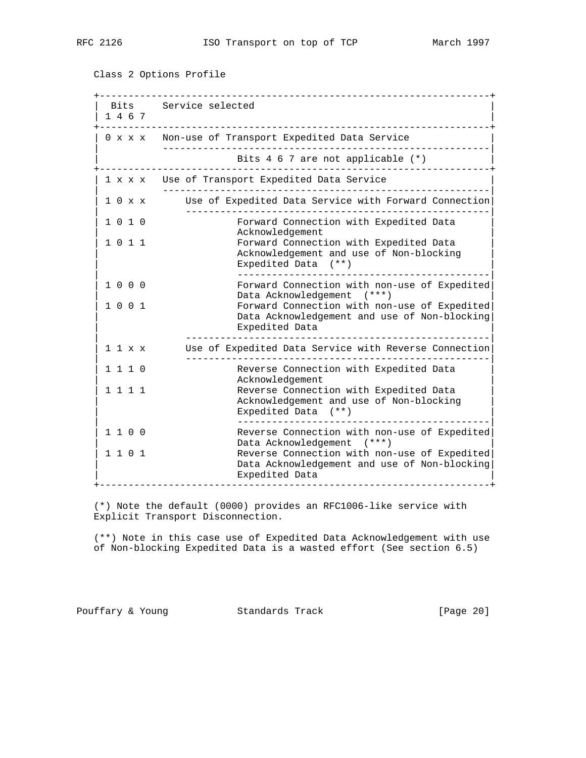Class 2 Options Profile

 +--------------------------------------------------------------------+ Bits Service selected | 1 4 6 7 | +--------------------------------------------------------------------+ 0 x x x Non-use of Transport Expedited Data Service | ---------------------------------------------------------| Bits 4 6 7 are not applicable (\*) +--------------------------------------------------------------------+ 1 x x x Use of Transport Expedited Data Service | ---------------------------------------------------------| | 1 0 x x Use of Expedited Data Service with Forward Connection| | -----------------------------------------------------| Forward Connection with Expedited Data | Acknowledgement<br>| 1 0 1 1 1 1 1 5 Forward Connect Forward Connection with Expedited Data Acknowledgement and use of Non-blocking Expedited Data (\*\*) | --------------------------------------------| | 1 0 0 0 Forward Connection with non-use of Expedited| Data Acknowledgement (\*\*\*) | 1 0 0 1 Forward Connection with non-use of Expedited| Data Acknowledgement and use of Non-blocking Expedited Data | -----------------------------------------------------| | 1 1 x x Use of Expedited Data Service with Reverse Connection| | -----------------------------------------------------| Reverse Connection with Expedited Data Acknowledgement<br>1 1 1 1 1 1 Reverse Connecti Reverse Connection with Expedited Data Acknowledgement and use of Non-blocking Expedited Data (\*\*) | --------------------------------------------| 1 1 0 0 Reverse Connection with non-use of Expedited  ${\small \begin{array}{lll} \texttt{Data Acknowledgement} & (\texttt{***}) \\ \texttt{1} & \texttt{0} & \texttt{1} \end{array} }$ Reverse Connection with non-use of Expedited Data Acknowledgement and use of Non-blocking Expedited Data +--------------------------------------------------------------------+

 (\*) Note the default (0000) provides an RFC1006-like service with Explicit Transport Disconnection.

 (\*\*) Note in this case use of Expedited Data Acknowledgement with use of Non-blocking Expedited Data is a wasted effort (See section 6.5)

Pouffary & Young Standards Track [Page 20]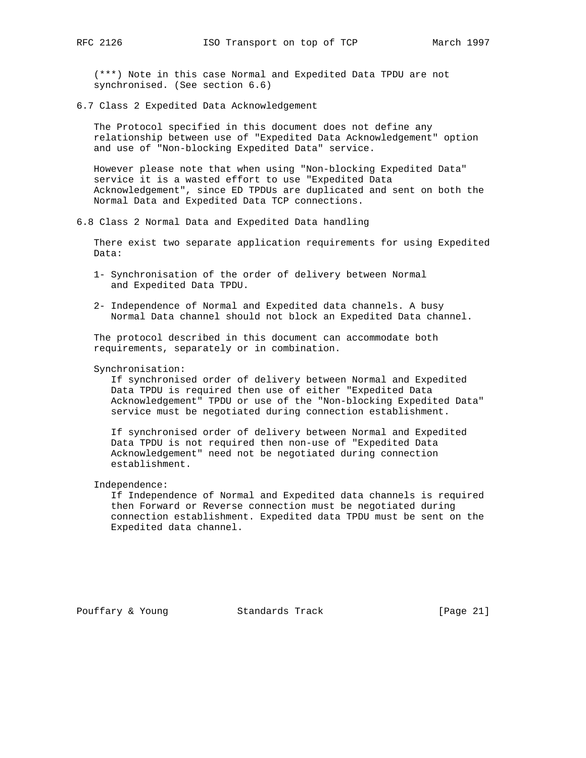(\*\*\*) Note in this case Normal and Expedited Data TPDU are not synchronised. (See section 6.6)

6.7 Class 2 Expedited Data Acknowledgement

 The Protocol specified in this document does not define any relationship between use of "Expedited Data Acknowledgement" option and use of "Non-blocking Expedited Data" service.

 However please note that when using "Non-blocking Expedited Data" service it is a wasted effort to use "Expedited Data Acknowledgement", since ED TPDUs are duplicated and sent on both the Normal Data and Expedited Data TCP connections.

6.8 Class 2 Normal Data and Expedited Data handling

 There exist two separate application requirements for using Expedited Data:

- 1- Synchronisation of the order of delivery between Normal and Expedited Data TPDU.
- 2- Independence of Normal and Expedited data channels. A busy Normal Data channel should not block an Expedited Data channel.

 The protocol described in this document can accommodate both requirements, separately or in combination.

### Synchronisation:

 If synchronised order of delivery between Normal and Expedited Data TPDU is required then use of either "Expedited Data Acknowledgement" TPDU or use of the "Non-blocking Expedited Data" service must be negotiated during connection establishment.

 If synchronised order of delivery between Normal and Expedited Data TPDU is not required then non-use of "Expedited Data Acknowledgement" need not be negotiated during connection establishment.

Independence:

 If Independence of Normal and Expedited data channels is required then Forward or Reverse connection must be negotiated during connection establishment. Expedited data TPDU must be sent on the Expedited data channel.

Pouffary & Young Standards Track [Page 21]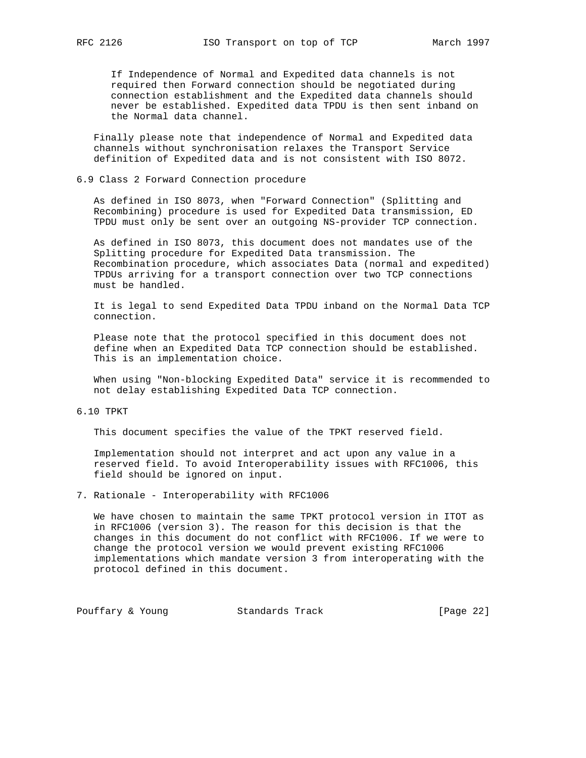If Independence of Normal and Expedited data channels is not required then Forward connection should be negotiated during connection establishment and the Expedited data channels should never be established. Expedited data TPDU is then sent inband on the Normal data channel.

 Finally please note that independence of Normal and Expedited data channels without synchronisation relaxes the Transport Service definition of Expedited data and is not consistent with ISO 8072.

### 6.9 Class 2 Forward Connection procedure

 As defined in ISO 8073, when "Forward Connection" (Splitting and Recombining) procedure is used for Expedited Data transmission, ED TPDU must only be sent over an outgoing NS-provider TCP connection.

 As defined in ISO 8073, this document does not mandates use of the Splitting procedure for Expedited Data transmission. The Recombination procedure, which associates Data (normal and expedited) TPDUs arriving for a transport connection over two TCP connections must be handled.

 It is legal to send Expedited Data TPDU inband on the Normal Data TCP connection.

 Please note that the protocol specified in this document does not define when an Expedited Data TCP connection should be established. This is an implementation choice.

 When using "Non-blocking Expedited Data" service it is recommended to not delay establishing Expedited Data TCP connection.

# 6.10 TPKT

This document specifies the value of the TPKT reserved field.

 Implementation should not interpret and act upon any value in a reserved field. To avoid Interoperability issues with RFC1006, this field should be ignored on input.

7. Rationale - Interoperability with RFC1006

 We have chosen to maintain the same TPKT protocol version in ITOT as in RFC1006 (version 3). The reason for this decision is that the changes in this document do not conflict with RFC1006. If we were to change the protocol version we would prevent existing RFC1006 implementations which mandate version 3 from interoperating with the protocol defined in this document.

Pouffary & Young Standards Track [Page 22]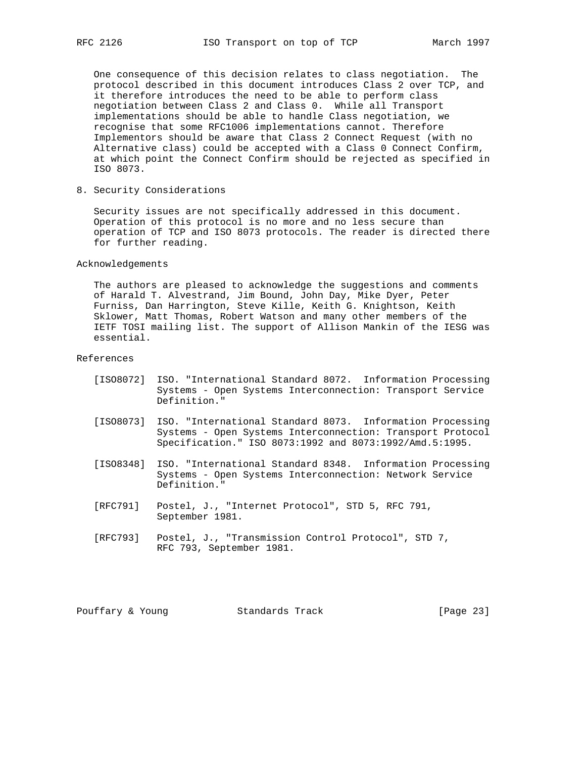One consequence of this decision relates to class negotiation. The protocol described in this document introduces Class 2 over TCP, and it therefore introduces the need to be able to perform class negotiation between Class 2 and Class 0. While all Transport implementations should be able to handle Class negotiation, we recognise that some RFC1006 implementations cannot. Therefore Implementors should be aware that Class 2 Connect Request (with no Alternative class) could be accepted with a Class 0 Connect Confirm, at which point the Connect Confirm should be rejected as specified in ISO 8073.

8. Security Considerations

 Security issues are not specifically addressed in this document. Operation of this protocol is no more and no less secure than operation of TCP and ISO 8073 protocols. The reader is directed there for further reading.

Acknowledgements

 The authors are pleased to acknowledge the suggestions and comments of Harald T. Alvestrand, Jim Bound, John Day, Mike Dyer, Peter Furniss, Dan Harrington, Steve Kille, Keith G. Knightson, Keith Sklower, Matt Thomas, Robert Watson and many other members of the IETF TOSI mailing list. The support of Allison Mankin of the IESG was essential.

References

- [ISO8072] ISO. "International Standard 8072. Information Processing Systems - Open Systems Interconnection: Transport Service Definition."
- [ISO8073] ISO. "International Standard 8073. Information Processing Systems - Open Systems Interconnection: Transport Protocol Specification." ISO 8073:1992 and 8073:1992/Amd.5:1995.
- [ISO8348] ISO. "International Standard 8348. Information Processing Systems - Open Systems Interconnection: Network Service Definition."
- [RFC791] Postel, J., "Internet Protocol", STD 5, RFC 791, September 1981.
- [RFC793] Postel, J., "Transmission Control Protocol", STD 7, RFC 793, September 1981.

Pouffary & Young Standards Track [Page 23]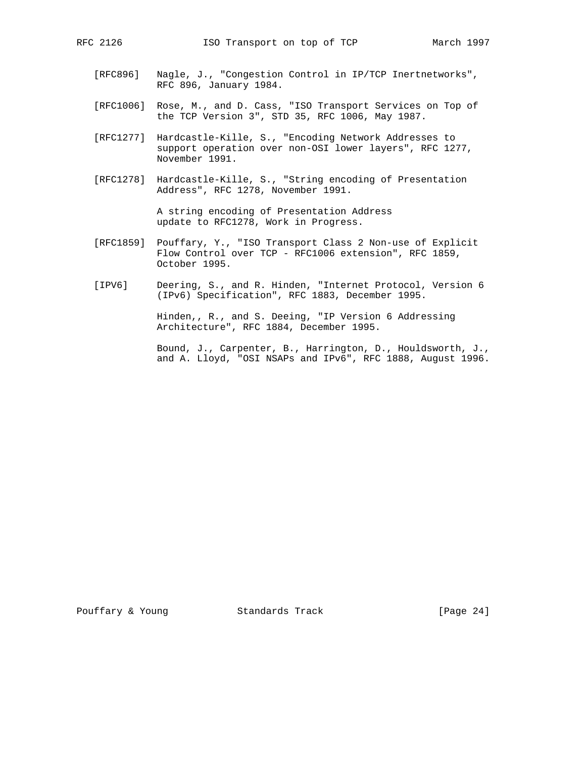- [RFC896] Nagle, J., "Congestion Control in IP/TCP Inertnetworks", RFC 896, January 1984.
- [RFC1006] Rose, M., and D. Cass, "ISO Transport Services on Top of the TCP Version 3", STD 35, RFC 1006, May 1987.
- [RFC1277] Hardcastle-Kille, S., "Encoding Network Addresses to support operation over non-OSI lower layers", RFC 1277, November 1991.
- [RFC1278] Hardcastle-Kille, S., "String encoding of Presentation Address", RFC 1278, November 1991.

 A string encoding of Presentation Address update to RFC1278, Work in Progress.

- [RFC1859] Pouffary, Y., "ISO Transport Class 2 Non-use of Explicit Flow Control over TCP - RFC1006 extension", RFC 1859, October 1995.
- [IPV6] Deering, S., and R. Hinden, "Internet Protocol, Version 6 (IPv6) Specification", RFC 1883, December 1995.

 Hinden,, R., and S. Deeing, "IP Version 6 Addressing Architecture", RFC 1884, December 1995.

 Bound, J., Carpenter, B., Harrington, D., Houldsworth, J., and A. Lloyd, "OSI NSAPs and IPv6", RFC 1888, August 1996.

Pouffary & Young Standards Track [Page 24]